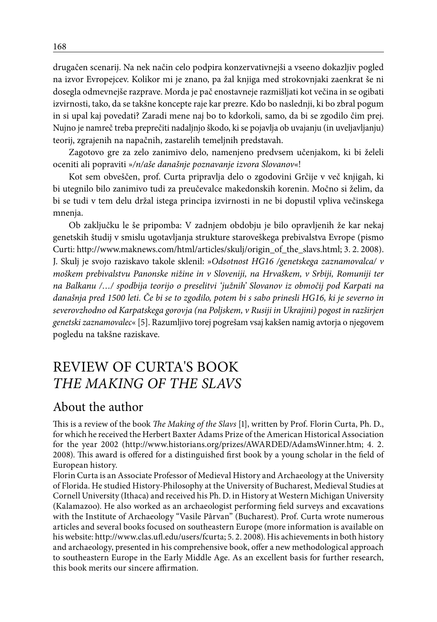drugačen scenarij. Na nek način celo podpira konzervativnejši a vseeno dokazljiv pogled na izvor Evropejcev. Kolikor mi je znano, pa žal knjiga med strokovnjaki zaenkrat še ni dosegla odmevnejše razprave. Morda je pač enostavneje razmišljati kot večina in se ogibati izvirnosti, tako, da se takšne koncepte raje kar prezre. Kdo bo naslednji, ki bo zbral pogum in si upal kaj povedati? Zaradi mene naj bo to kdorkoli, samo, da bi se zgodilo čim prej. Nujno je namreč treba preprečiti nadaljnjo škodo, ki se pojavlja ob uvajanju (in uveljavljanju) teorij, zgrajenih na napačnih, zastarelih temeljnih predstavah.

Zagotovo gre za zelo zanimivo delo, namenjeno predvsem učenjakom, ki bi želeli oceniti ali popraviti »*/n/aše današnje poznavanje izvora Slovanov*«!

Kot sem obveščen, prof. Curta pripravlja delo o zgodovini Grčije v več knjigah, ki bi utegnilo bilo zanimivo tudi za preučevalce makedonskih korenin. Močno si želim, da bi se tudi v tem delu držal istega principa izvirnosti in ne bi dopustil vpliva večinskega mnenja.

Ob zaključku le še pripomba: V zadnjem obdobju je bilo opravljenih že kar nekaj genetskih študij v smislu ugotavljanja strukture staroveškega prebivalstva Evrope (pismo Curti: http://www.maknews.com/html/articles/skulj/origin\_of\_the\_slavs.html; 3. 2. 2008). J. Skulj je svojo raziskavo takole sklenil: »*Odsotnost HG16 /genetskega zaznamovalca/ v moškem prebivalstvu Panonske nižine in v Sloveniji, na Hrvaškem, v Srbiji, Romuniji ter na Balkanu /…/ spodbija teorijo o preselitvi 'južnih' Slovanov iz območij pod Karpati na današnja pred 1500 leti. Če bi se to zgodilo, potem bi s sabo prinesli HG16, ki je severno in severovzhodno od Karpatskega gorovja (na Poljskem, v Rusiji in Ukrajini) pogost in razširjen genetski zaznamovalec*« [5]. Razumljivo torej pogrešam vsaj kakšen namig avtorja o njegovem pogledu na takšne raziskave.

# REVIEW OF CURTA'S BOOK *THE MAKING OF THE SLAVS*

## About the author

This is a review of the book *The Making of the Slavs* [1], written by Prof. Florin Curta, Ph. D., for which he received the Herbert Baxter Adams Prize of the American Historical Association for the year 2002 (http://www.historians.org/prizes/AWARDED/AdamsWinner.htm; 4. 2. 2008). This award is offered for a distinguished first book by a young scholar in the field of European history.

Florin Curta is an Associate Professor of Medieval History and Archaeology at the University of Florida. He studied History-Philosophy at the University of Bucharest, Medieval Studies at Cornell University (Ithaca) and received his Ph. D. in History at Western Michigan University (Kalamazoo). He also worked as an archaeologist performing field surveys and excavations with the Institute of Archaeology "Vasile Pârvan" (Bucharest). Prof. Curta wrote numerous articles and several books focused on southeastern Europe (more information is available on his website: http://www.clas.ufl.edu/users/fcurta; 5. 2. 2008). His achievements in both history and archaeology, presented in his comprehensive book, offer a new methodological approach to southeastern Europe in the Early Middle Age. As an excellent basis for further research, this book merits our sincere affirmation.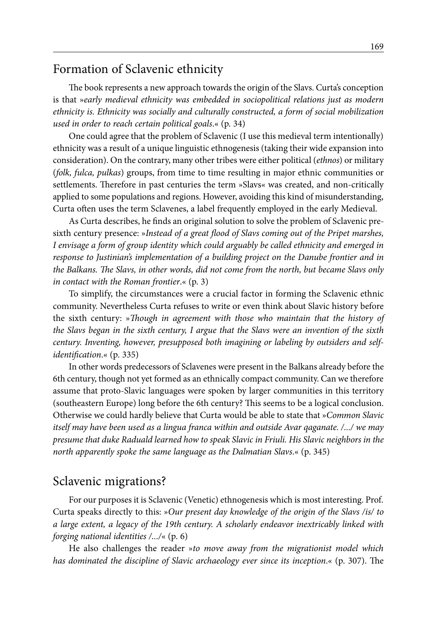### Formation of Sclavenic ethnicity

The book represents a new approach towards the origin of the Slavs. Curta's conception is that »*early medieval ethnicity was embedded in sociopolitical relations just as modern ethnicity is. Ethnicity was socially and culturally constructed, a form of social mobilization used in order to reach certain political goals*.« (p. 34)

One could agree that the problem of Sclavenic (I use this medieval term intentionally) ethnicity was a result of a unique linguistic ethnogenesis (taking their wide expansion into consideration). On the contrary, many other tribes were either political (*ethnos*) or military (*folk, fulca, pulkas*) groups, from time to time resulting in major ethnic communities or settlements. Therefore in past centuries the term »Slavs« was created, and non-critically applied to some populations and regions. However, avoiding this kind of misunderstanding, Curta often uses the term Sclavenes, a label frequently employed in the early Medieval.

As Curta describes, he finds an original solution to solve the problem of Sclavenic presixth century presence: »*Instead of a great flood of Slavs coming out of the Pripet marshes, I envisage a form of group identity which could arguably be called ethnicity and emerged in response to Justinian's implementation of a building project on the Danube frontier and in the Balkans. The Slavs, in other words, did not come from the north, but became Slavs only in contact with the Roman frontier*.« (p. 3)

To simplify, the circumstances were a crucial factor in forming the Sclavenic ethnic community. Nevertheless Curta refuses to write or even think about Slavic history before the sixth century: »*Though in agreement with those who maintain that the history of the Slavs began in the sixth century, I argue that the Slavs were an invention of the sixth century. Inventing, however, presupposed both imagining or labeling by outsiders and selfidentification*.« (p. 335)

In other words predecessors of Sclavenes were present in the Balkans already before the 6th century, though not yet formed as an ethnically compact community. Can we therefore assume that proto-Slavic languages were spoken by larger communities in this territory (southeastern Europe) long before the 6th century? This seems to be a logical conclusion. Otherwise we could hardly believe that Curta would be able to state that »*Common Slavic itself may have been used as a lingua franca within and outside Avar qaganate. /.../ we may presume that duke Raduald learned how to speak Slavic in Friuli. His Slavic neighbors in the north apparently spoke the same language as the Dalmatian Slavs*.« (p. 345)

#### Sclavenic migrations?

For our purposes it is Sclavenic (Venetic) ethnogenesis which is most interesting. Prof. Curta speaks directly to this: »*Our present day knowledge of the origin of the Slavs /is/ to a large extent, a legacy of the 19th century. A scholarly endeavor inextricably linked with forging national identities /.../*« (p. 6)

He also challenges the reader »*to move away from the migrationist model which has dominated the discipline of Slavic archaeology ever since its inception*.« (p. 307). The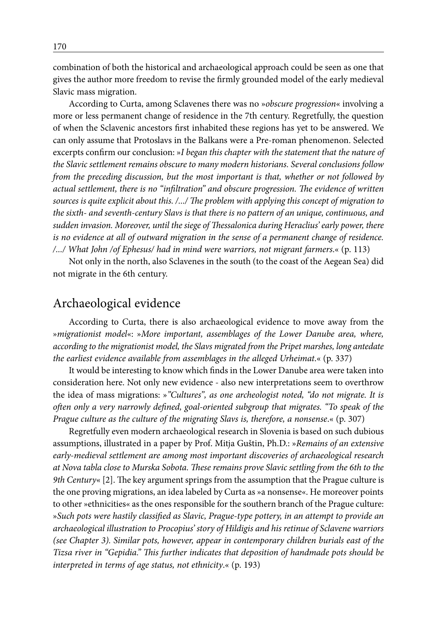combination of both the historical and archaeological approach could be seen as one that gives the author more freedom to revise the firmly grounded model of the early medieval Slavic mass migration.

According to Curta, among Sclavenes there was no »*obscure progression*« involving a more or less permanent change of residence in the 7th century. Regretfully, the question of when the Sclavenic ancestors first inhabited these regions has yet to be answered. We can only assume that Protoslavs in the Balkans were a Pre-roman phenomenon. Selected excerpts confirm our conclusion: »*I began this chapter with the statement that the nature of the Slavic settlement remains obscure to many modern historians. Several conclusions follow from the preceding discussion, but the most important is that, whether or not followed by actual settlement, there is no "infiltration" and obscure progression. The evidence of written sources is quite explicit about this. /.../ The problem with applying this concept of migration to the sixth- and seventh-century Slavs is that there is no pattern of an unique, continuous, and sudden invasion. Moreover, until the siege of Thessalonica during Heraclius' early power, there is no evidence at all of outward migration in the sense of a permanent change of residence. /.../ What John /of Ephesus/ had in mind were warriors, not migrant farmers*.« (p. 113)

Not only in the north, also Sclavenes in the south (to the coast of the Aegean Sea) did not migrate in the 6th century.

### Archaeological evidence

According to Curta, there is also archaeological evidence to move away from the »*migrationist model*«: »*More important, assemblages of the Lower Danube area, where, according to the migrationist model, the Slavs migrated from the Pripet marshes, long antedate the earliest evidence available from assemblages in the alleged Urheimat*.« (p. 337)

It would be interesting to know which finds in the Lower Danube area were taken into consideration here. Not only new evidence - also new interpretations seem to overthrow the idea of mass migrations: »*"Cultures", as one archeologist noted, "do not migrate. It is often only a very narrowly defined, goal-oriented subgroup that migrates. "To speak of the Prague culture as the culture of the migrating Slavs is, therefore, a nonsense*.« (p. 307)

Regretfully even modern archaeological research in Slovenia is based on such dubious assumptions, illustrated in a paper by Prof. Mitja Guštin, Ph.D.: »*Remains of an extensive early-medieval settlement are among most important discoveries of archaeological research at Nova tabla close to Murska Sobota. These remains prove Slavic settling from the 6th to the 9th Century*« [2]. The key argument springs from the assumption that the Prague culture is the one proving migrations, an idea labeled by Curta as »a nonsense«. He moreover points to other »ethnicities« as the ones responsible for the southern branch of the Prague culture: »*Such pots were hastily classified as Slavic, Prague-type pottery, in an attempt to provide an archaeological illustration to Procopius' story of Hildigis and his retinue of Sclavene warriors (see Chapter 3). Similar pots, however, appear in contemporary children burials east of the Tizsa river in "Gepidia." This further indicates that deposition of handmade pots should be interpreted in terms of age status, not ethnicity*.« (p. 193)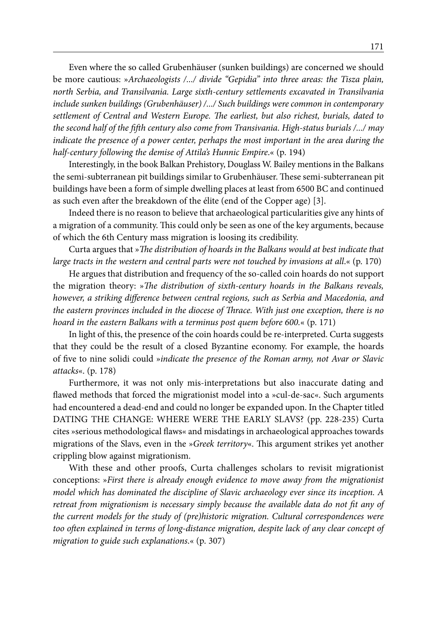Even where the so called Grubenhäuser (sunken buildings) are concerned we should be more cautious: »*Archaeologists /.../ divide "Gepidia" into three areas: the Tisza plain, north Serbia, and Transilvania. Large sixth-century settlements excavated in Transilvania include sunken buildings (Grubenhäuser) /.../ Such buildings were common in contemporary settlement of Central and Western Europe. The earliest, but also richest, burials, dated to the second half of the fifth century also come from Transivania. High-status burials /.../ may indicate the presence of a power center, perhaps the most important in the area during the half-century following the demise of Attila's Hunnic Empire*.« (p. 194)

Interestingly, in the book Balkan Prehistory, Douglass W. Bailey mentions in the Balkans the semi-subterranean pit buildings similar to Grubenhäuser. These semi-subterranean pit buildings have been a form of simple dwelling places at least from 6500 BC and continued as such even after the breakdown of the élite (end of the Copper age) [3].

Indeed there is no reason to believe that archaeological particularities give any hints of a migration of a community. This could only be seen as one of the key arguments, because of which the 6th Century mass migration is loosing its credibility.

Curta argues that »*The distribution of hoards in the Balkans would at best indicate that large tracts in the western and central parts were not touched by invasions at all*.« (p. 170)

He argues that distribution and frequency of the so-called coin hoards do not support the migration theory: »*The distribution of sixth-century hoards in the Balkans reveals, however, a striking difference between central regions, such as Serbia and Macedonia, and the eastern provinces included in the diocese of Thrace. With just one exception, there is no hoard in the eastern Balkans with a terminus post quem before 600.*« (p. 171)

In light of this, the presence of the coin hoards could be re-interpreted. Curta suggests that they could be the result of a closed Byzantine economy. For example, the hoards of five to nine solidi could »*indicate the presence of the Roman army, not Avar or Slavic attacks*«. (p. 178)

Furthermore, it was not only mis-interpretations but also inaccurate dating and flawed methods that forced the migrationist model into a »cul-de-sac«. Such arguments had encountered a dead-end and could no longer be expanded upon. In the Chapter titled DATING THE CHANGE: WHERE WERE THE EARLY SLAVS? (pp. 228-235) Curta cites »serious methodological flaws« and misdatings in archaeological approaches towards migrations of the Slavs, even in the »*Greek territory*«. This argument strikes yet another crippling blow against migrationism.

With these and other proofs, Curta challenges scholars to revisit migrationist conceptions: »*First there is already enough evidence to move away from the migrationist model which has dominated the discipline of Slavic archaeology ever since its inception. A retreat from migrationism is necessary simply because the available data do not fit any of the current models for the study of (pre)historic migration. Cultural correspondences were too often explained in terms of long-distance migration, despite lack of any clear concept of migration to guide such explanations*.« (p. 307)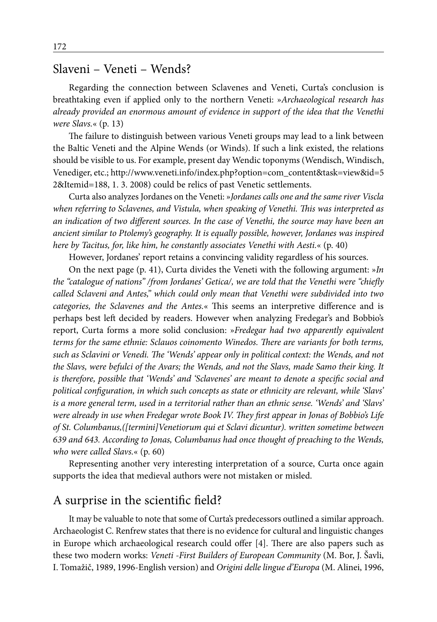### Slaveni – Veneti – Wends?

Regarding the connection between Sclavenes and Veneti, Curta's conclusion is breathtaking even if applied only to the northern Veneti: »*Archaeological research has already provided an enormous amount of evidence in support of the idea that the Venethi were Slavs.*« (p. 13)

The failure to distinguish between various Veneti groups may lead to a link between the Baltic Veneti and the Alpine Wends (or Winds). If such a link existed, the relations should be visible to us. For example, present day Wendic toponyms (Wendisch, Windisch, Venediger, etc.; http://www.veneti.info/index.php?option=com\_content&task=view&id=5 2&Itemid=188, 1. 3. 2008) could be relics of past Venetic settlements.

Curta also analyzes Jordanes on the Veneti: »*Jordanes calls one and the same river Viscla when referring to Sclavenes, and Vistula, when speaking of Venethi. This was interpreted as an indication of two different sources. In the case of Venethi, the source may have been an ancient similar to Ptolemy's geography. It is equally possible, however, Jordanes was inspired here by Tacitus, for, like him, he constantly associates Venethi with Aesti.*« (p. 40)

However, Jordanes' report retains a convincing validity regardless of his sources.

On the next page (p. 41), Curta divides the Veneti with the following argument: »*In the "catalogue of nations" /from Jordanes' Getica/, we are told that the Venethi were "chiefly called Sclaveni and Antes," which could only mean that Venethi were subdivided into two categories, the Sclavenes and the Antes.*« This seems an interpretive difference and is perhaps best left decided by readers. However when analyzing Fredegar's and Bobbio's report, Curta forms a more solid conclusion: »*Fredegar had two apparently equivalent terms for the same ethnie: Sclauos coinomento Winedos. There are variants for both terms, such as Sclavini or Venedi. The 'Wends' appear only in political context: the Wends, and not the Slavs, were befulci of the Avars; the Wends, and not the Slavs, made Samo their king. It is therefore, possible that 'Wends' and 'Sclavenes' are meant to denote a specific social and political configuration, in which such concepts as state or ethnicity are relevant, while 'Slavs' is a more general term, used in a territorial rather than an ethnic sense. 'Wends' and 'Slavs' were already in use when Fredegar wrote Book IV. They first appear in Jonas of Bobbio's Life of St. Columbanus,([termini]Venetiorum qui et Sclavi dicuntur). written sometime between 639 and 643. According to Jonas, Columbanus had once thought of preaching to the Wends, who were called Slavs.*« (p. 60)

Representing another very interesting interpretation of a source, Curta once again supports the idea that medieval authors were not mistaken or misled.

#### A surprise in the scientific field?

It may be valuable to note that some of Curta's predecessors outlined a similar approach. Archaeologist C. Renfrew states that there is no evidence for cultural and linguistic changes in Europe which archaeological research could offer [4]. There are also papers such as these two modern works: *Veneti -First Builders of European Community* (M. Bor, J. Šavli, I. Tomažič, 1989, 1996-English version) and *Origini delle lingue d'Europa* (M. Alinei, 1996,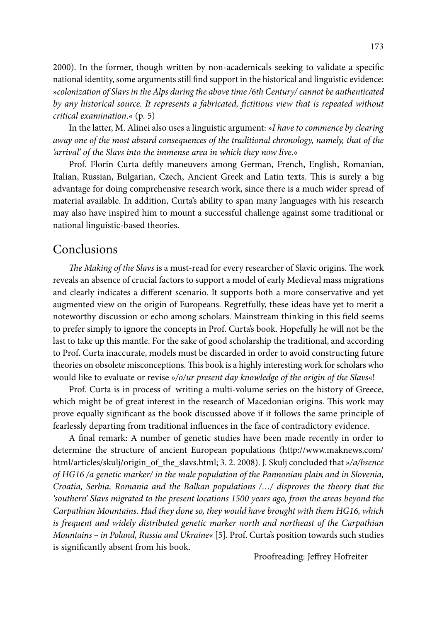2000). In the former, though written by non-academicals seeking to validate a specific national identity, some arguments still find support in the historical and linguistic evidence: »*colonization of Slavs in the Alps during the above time /6th Century/ cannot be authenticated by any historical source. It represents a fabricated, fictitious view that is repeated without critical examination*.« (p. 5)

In the latter, M. Alinei also uses a linguistic argument: »*I have to commence by clearing away one of the most absurd consequences of the traditional chronology, namely, that of the 'arrival' of the Slavs into the immense area in which they now live*.«

Prof. Florin Curta deftly maneuvers among German, French, English, Romanian, Italian, Russian, Bulgarian, Czech, Ancient Greek and Latin texts. This is surely a big advantage for doing comprehensive research work, since there is a much wider spread of material available. In addition, Curta's ability to span many languages with his research may also have inspired him to mount a successful challenge against some traditional or national linguistic-based theories.

#### Conclusions

*The Making of the Slavs* is a must-read for every researcher of Slavic origins. The work reveals an absence of crucial factors to support a model of early Medieval mass migrations and clearly indicates a different scenario. It supports both a more conservative and yet augmented view on the origin of Europeans. Regretfully, these ideas have yet to merit a noteworthy discussion or echo among scholars. Mainstream thinking in this field seems to prefer simply to ignore the concepts in Prof. Curta's book. Hopefully he will not be the last to take up this mantle. For the sake of good scholarship the traditional, and according to Prof. Curta inaccurate, models must be discarded in order to avoid constructing future theories on obsolete misconceptions. This book is a highly interesting work for scholars who would like to evaluate or revise »*/o/ur present day knowledge of the origin of the Slavs*«!

Prof. Curta is in process of writing a multi-volume series on the history of Greece, which might be of great interest in the research of Macedonian origins. This work may prove equally significant as the book discussed above if it follows the same principle of fearlessly departing from traditional influences in the face of contradictory evidence.

A final remark: A number of genetic studies have been made recently in order to determine the structure of ancient European populations (http://www.maknews.com/ html/articles/skulj/origin\_of\_the\_slavs.html; 3. 2. 2008). J. Skulj concluded that »*/a/bsence of HG16 /a genetic marker/ in the male population of the Pannonian plain and in Slovenia, Croatia, Serbia, Romania and the Balkan populations /…/ disproves the theory that the 'southern' Slavs migrated to the present locations 1500 years ago, from the areas beyond the Carpathian Mountains. Had they done so, they would have brought with them HG16, which is frequent and widely distributed genetic marker north and northeast of the Carpathian Mountains – in Poland, Russia and Ukraine*« [5]. Prof. Curta's position towards such studies is significantly absent from his book.

Proofreading: Jeffrey Hofreiter